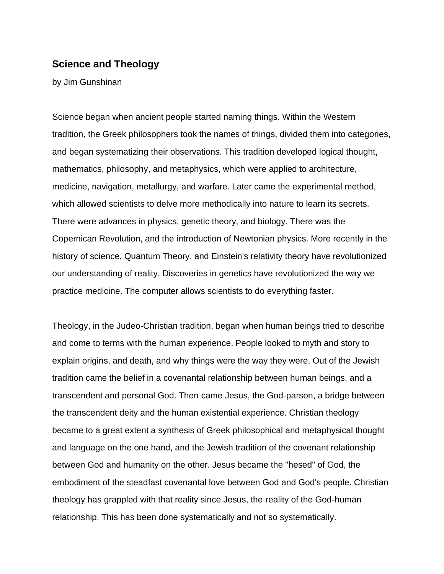# **Science and Theology**

by Jim Gunshinan

Science began when ancient people started naming things. Within the Western tradition, the Greek philosophers took the names of things, divided them into categories, and began systematizing their observations. This tradition developed logical thought, mathematics, philosophy, and metaphysics, which were applied to architecture, medicine, navigation, metallurgy, and warfare. Later came the experimental method, which allowed scientists to delve more methodically into nature to learn its secrets. There were advances in physics, genetic theory, and biology. There was the Copernican Revolution, and the introduction of Newtonian physics. More recently in the history of science, Quantum Theory, and Einstein's relativity theory have revolutionized our understanding of reality. Discoveries in genetics have revolutionized the way we practice medicine. The computer allows scientists to do everything faster.

Theology, in the Judeo-Christian tradition, began when human beings tried to describe and come to terms with the human experience. People looked to myth and story to explain origins, and death, and why things were the way they were. Out of the Jewish tradition came the belief in a covenantal relationship between human beings, and a transcendent and personal God. Then came Jesus, the God-parson, a bridge between the transcendent deity and the human existential experience. Christian theology became to a great extent a synthesis of Greek philosophical and metaphysical thought and language on the one hand, and the Jewish tradition of the covenant relationship between God and humanity on the other. Jesus became the "hesed" of God, the embodiment of the steadfast covenantal love between God and God's people. Christian theology has grappled with that reality since Jesus, the reality of the God-human relationship. This has been done systematically and not so systematically.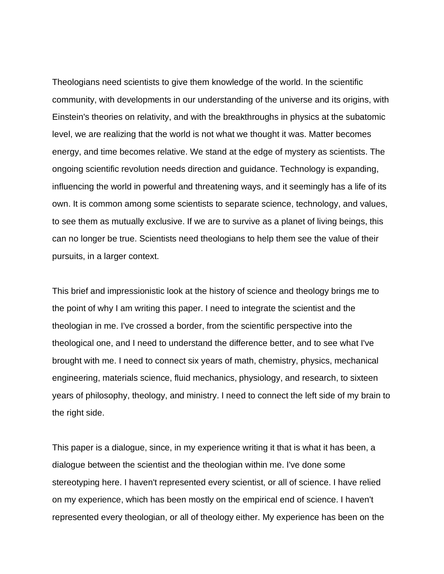Theologians need scientists to give them knowledge of the world. In the scientific community, with developments in our understanding of the universe and its origins, with Einstein's theories on relativity, and with the breakthroughs in physics at the subatomic level, we are realizing that the world is not what we thought it was. Matter becomes energy, and time becomes relative. We stand at the edge of mystery as scientists. The ongoing scientific revolution needs direction and guidance. Technology is expanding, influencing the world in powerful and threatening ways, and it seemingly has a life of its own. It is common among some scientists to separate science, technology, and values, to see them as mutually exclusive. If we are to survive as a planet of living beings, this can no longer be true. Scientists need theologians to help them see the value of their pursuits, in a larger context.

This brief and impressionistic look at the history of science and theology brings me to the point of why I am writing this paper. I need to integrate the scientist and the theologian in me. I've crossed a border, from the scientific perspective into the theological one, and I need to understand the difference better, and to see what I've brought with me. I need to connect six years of math, chemistry, physics, mechanical engineering, materials science, fluid mechanics, physiology, and research, to sixteen years of philosophy, theology, and ministry. I need to connect the left side of my brain to the right side.

This paper is a dialogue, since, in my experience writing it that is what it has been, a dialogue between the scientist and the theologian within me. I've done some stereotyping here. I haven't represented every scientist, or all of science. I have relied on my experience, which has been mostly on the empirical end of science. I haven't represented every theologian, or all of theology either. My experience has been on the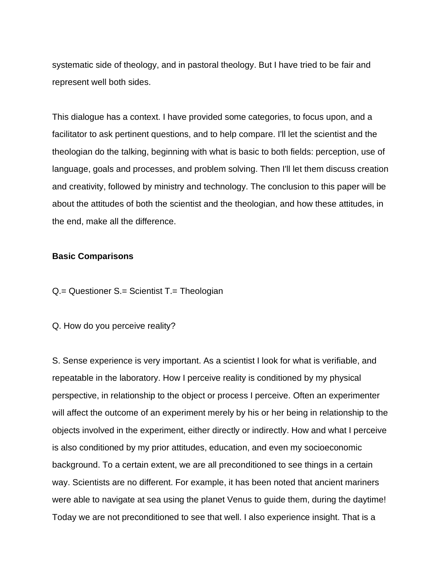systematic side of theology, and in pastoral theology. But I have tried to be fair and represent well both sides.

This dialogue has a context. I have provided some categories, to focus upon, and a facilitator to ask pertinent questions, and to help compare. I'll let the scientist and the theologian do the talking, beginning with what is basic to both fields: perception, use of language, goals and processes, and problem solving. Then I'll let them discuss creation and creativity, followed by ministry and technology. The conclusion to this paper will be about the attitudes of both the scientist and the theologian, and how these attitudes, in the end, make all the difference.

### **Basic Comparisons**

Q.= Questioner S.= Scientist T.= Theologian

Q. How do you perceive reality?

S. Sense experience is very important. As a scientist I look for what is verifiable, and repeatable in the laboratory. How I perceive reality is conditioned by my physical perspective, in relationship to the object or process I perceive. Often an experimenter will affect the outcome of an experiment merely by his or her being in relationship to the objects involved in the experiment, either directly or indirectly. How and what I perceive is also conditioned by my prior attitudes, education, and even my socioeconomic background. To a certain extent, we are all preconditioned to see things in a certain way. Scientists are no different. For example, it has been noted that ancient mariners were able to navigate at sea using the planet Venus to guide them, during the daytime! Today we are not preconditioned to see that well. I also experience insight. That is a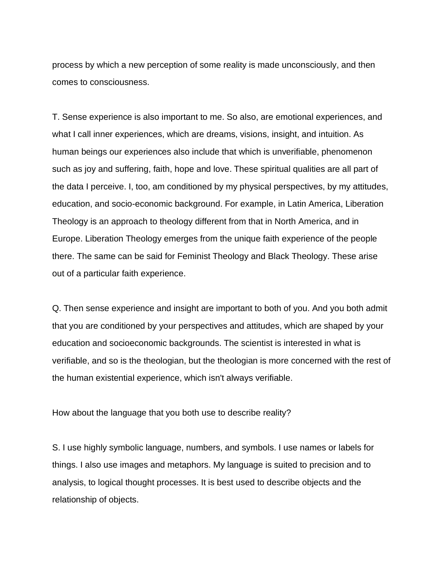process by which a new perception of some reality is made unconsciously, and then comes to consciousness.

T. Sense experience is also important to me. So also, are emotional experiences, and what I call inner experiences, which are dreams, visions, insight, and intuition. As human beings our experiences also include that which is unverifiable, phenomenon such as joy and suffering, faith, hope and love. These spiritual qualities are all part of the data I perceive. I, too, am conditioned by my physical perspectives, by my attitudes, education, and socio-economic background. For example, in Latin America, Liberation Theology is an approach to theology different from that in North America, and in Europe. Liberation Theology emerges from the unique faith experience of the people there. The same can be said for Feminist Theology and Black Theology. These arise out of a particular faith experience.

Q. Then sense experience and insight are important to both of you. And you both admit that you are conditioned by your perspectives and attitudes, which are shaped by your education and socioeconomic backgrounds. The scientist is interested in what is verifiable, and so is the theologian, but the theologian is more concerned with the rest of the human existential experience, which isn't always verifiable.

How about the language that you both use to describe reality?

S. I use highly symbolic language, numbers, and symbols. I use names or labels for things. I also use images and metaphors. My language is suited to precision and to analysis, to logical thought processes. It is best used to describe objects and the relationship of objects.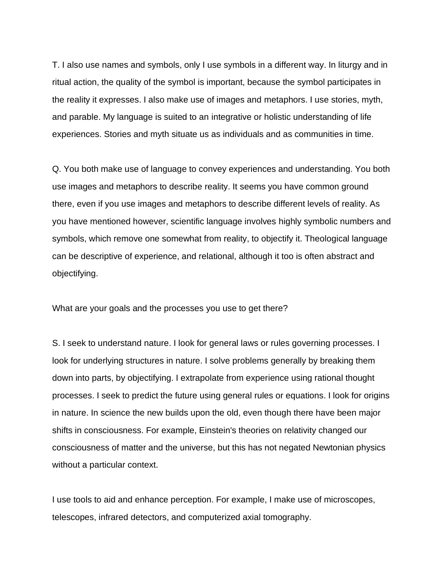T. I also use names and symbols, only I use symbols in a different way. In liturgy and in ritual action, the quality of the symbol is important, because the symbol participates in the reality it expresses. I also make use of images and metaphors. I use stories, myth, and parable. My language is suited to an integrative or holistic understanding of life experiences. Stories and myth situate us as individuals and as communities in time.

Q. You both make use of language to convey experiences and understanding. You both use images and metaphors to describe reality. It seems you have common ground there, even if you use images and metaphors to describe different levels of reality. As you have mentioned however, scientific language involves highly symbolic numbers and symbols, which remove one somewhat from reality, to objectify it. Theological language can be descriptive of experience, and relational, although it too is often abstract and objectifying.

What are your goals and the processes you use to get there?

S. I seek to understand nature. I look for general laws or rules governing processes. I look for underlying structures in nature. I solve problems generally by breaking them down into parts, by objectifying. I extrapolate from experience using rational thought processes. I seek to predict the future using general rules or equations. I look for origins in nature. In science the new builds upon the old, even though there have been major shifts in consciousness. For example, Einstein's theories on relativity changed our consciousness of matter and the universe, but this has not negated Newtonian physics without a particular context.

I use tools to aid and enhance perception. For example, I make use of microscopes, telescopes, infrared detectors, and computerized axial tomography.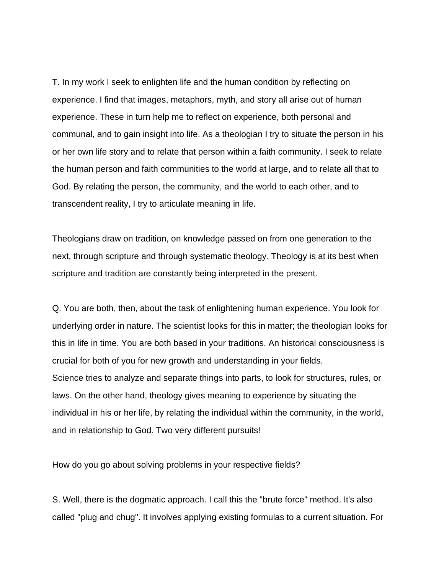T. In my work I seek to enlighten life and the human condition by reflecting on experience. I find that images, metaphors, myth, and story all arise out of human experience. These in turn help me to reflect on experience, both personal and communal, and to gain insight into life. As a theologian I try to situate the person in his or her own life story and to relate that person within a faith community. I seek to relate the human person and faith communities to the world at large, and to relate all that to God. By relating the person, the community, and the world to each other, and to transcendent reality, I try to articulate meaning in life.

Theologians draw on tradition, on knowledge passed on from one generation to the next, through scripture and through systematic theology. Theology is at its best when scripture and tradition are constantly being interpreted in the present.

Q. You are both, then, about the task of enlightening human experience. You look for underlying order in nature. The scientist looks for this in matter; the theologian looks for this in life in time. You are both based in your traditions. An historical consciousness is crucial for both of you for new growth and understanding in your fields. Science tries to analyze and separate things into parts, to look for structures, rules, or laws. On the other hand, theology gives meaning to experience by situating the individual in his or her life, by relating the individual within the community, in the world, and in relationship to God. Two very different pursuits!

How do you go about solving problems in your respective fields?

S. Well, there is the dogmatic approach. I call this the "brute force" method. It's also called "plug and chug". It involves applying existing formulas to a current situation. For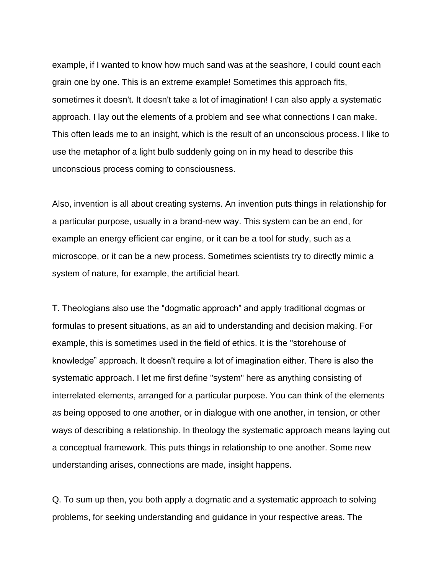example, if I wanted to know how much sand was at the seashore, I could count each grain one by one. This is an extreme example! Sometimes this approach fits, sometimes it doesn't. It doesn't take a lot of imagination! I can also apply a systematic approach. I lay out the elements of a problem and see what connections I can make. This often leads me to an insight, which is the result of an unconscious process. I like to use the metaphor of a light bulb suddenly going on in my head to describe this unconscious process coming to consciousness.

Also, invention is all about creating systems. An invention puts things in relationship for a particular purpose, usually in a brand-new way. This system can be an end, for example an energy efficient car engine, or it can be a tool for study, such as a microscope, or it can be a new process. Sometimes scientists try to directly mimic a system of nature, for example, the artificial heart.

T. Theologians also use the "dogmatic approach" and apply traditional dogmas or formulas to present situations, as an aid to understanding and decision making. For example, this is sometimes used in the field of ethics. It is the "storehouse of knowledge" approach. It doesn't require a lot of imagination either. There is also the systematic approach. I let me first define "system" here as anything consisting of interrelated elements, arranged for a particular purpose. You can think of the elements as being opposed to one another, or in dialogue with one another, in tension, or other ways of describing a relationship. In theology the systematic approach means laying out a conceptual framework. This puts things in relationship to one another. Some new understanding arises, connections are made, insight happens.

Q. To sum up then, you both apply a dogmatic and a systematic approach to solving problems, for seeking understanding and guidance in your respective areas. The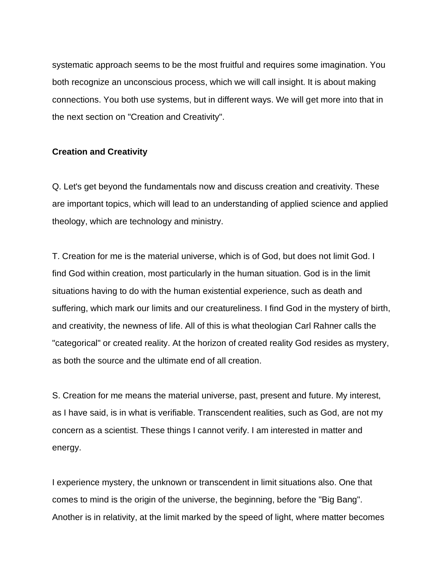systematic approach seems to be the most fruitful and requires some imagination. You both recognize an unconscious process, which we will call insight. It is about making connections. You both use systems, but in different ways. We will get more into that in the next section on "Creation and Creativity".

## **Creation and Creativity**

Q. Let's get beyond the fundamentals now and discuss creation and creativity. These are important topics, which will lead to an understanding of applied science and applied theology, which are technology and ministry.

T. Creation for me is the material universe, which is of God, but does not limit God. I find God within creation, most particularly in the human situation. God is in the limit situations having to do with the human existential experience, such as death and suffering, which mark our limits and our creatureliness. I find God in the mystery of birth, and creativity, the newness of life. All of this is what theologian Carl Rahner calls the "categorical" or created reality. At the horizon of created reality God resides as mystery, as both the source and the ultimate end of all creation.

S. Creation for me means the material universe, past, present and future. My interest, as I have said, is in what is verifiable. Transcendent realities, such as God, are not my concern as a scientist. These things I cannot verify. I am interested in matter and energy.

I experience mystery, the unknown or transcendent in limit situations also. One that comes to mind is the origin of the universe, the beginning, before the "Big Bang". Another is in relativity, at the limit marked by the speed of light, where matter becomes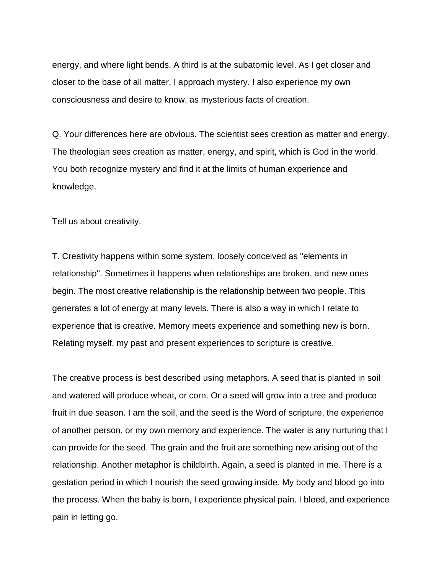energy, and where light bends. A third is at the subatomic level. As I get closer and closer to the base of all matter, I approach mystery. I also experience my own consciousness and desire to know, as mysterious facts of creation.

Q. Your differences here are obvious. The scientist sees creation as matter and energy. The theologian sees creation as matter, energy, and spirit, which is God in the world. You both recognize mystery and find it at the limits of human experience and knowledge.

Tell us about creativity.

T. Creativity happens within some system, loosely conceived as "elements in relationship''. Sometimes it happens when relationships are broken, and new ones begin. The most creative relationship is the relationship between two people. This generates a lot of energy at many levels. There is also a way in which I relate to experience that is creative. Memory meets experience and something new is born. Relating myself, my past and present experiences to scripture is creative.

The creative process is best described using metaphors. A seed that is planted in soil and watered will produce wheat, or corn. Or a seed will grow into a tree and produce fruit in due season. I am the soil, and the seed is the Word of scripture, the experience of another person, or my own memory and experience. The water is any nurturing that I can provide for the seed. The grain and the fruit are something new arising out of the relationship. Another metaphor is childbirth. Again, a seed is planted in me. There is a gestation period in which I nourish the seed growing inside. My body and blood go into the process. When the baby is born, I experience physical pain. I bleed, and experience pain in letting go.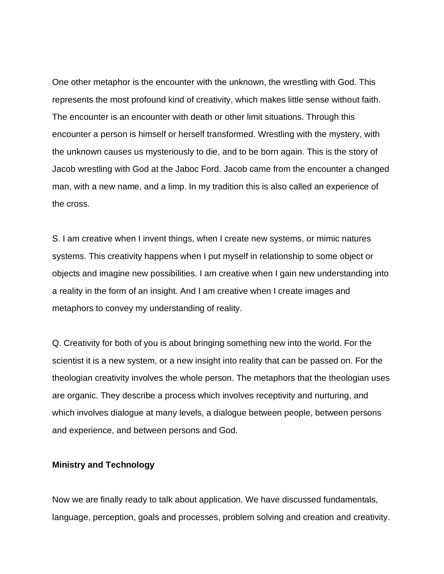One other metaphor is the encounter with the unknown, the wrestling with God. This represents the most profound kind of creativity, which makes little sense without faith. The encounter is an encounter with death or other limit situations. Through this encounter a person is himself or herself transformed. Wrestling with the mystery, with the unknown causes us mysteriously to die, and to be born again. This is the story of Jacob wrestling with God at the Jaboc Ford. Jacob came from the encounter a changed man, with a new name, and a limp. In my tradition this is also called an experience of the cross.

S. I am creative when I invent things, when I create new systems, or mimic natures systems. This creativity happens when I put myself in relationship to some object or objects and imagine new possibilities. I am creative when I gain new understanding into a reality in the form of an insight. And I am creative when I create images and metaphors to convey my understanding of reality.

Q. Creativity for both of you is about bringing something new into the world. For the scientist it is a new system, or a new insight into reality that can be passed on. For the theologian creativity involves the whole person. The metaphors that the theologian uses are organic. They describe a process which involves receptivity and nurturing, and which involves dialogue at many levels, a dialogue between people, between persons and experience, and between persons and God.

### **Ministry and Technology**

Now we are finally ready to talk about application. We have discussed fundamentals, language, perception, goals and processes, problem solving and creation and creativity.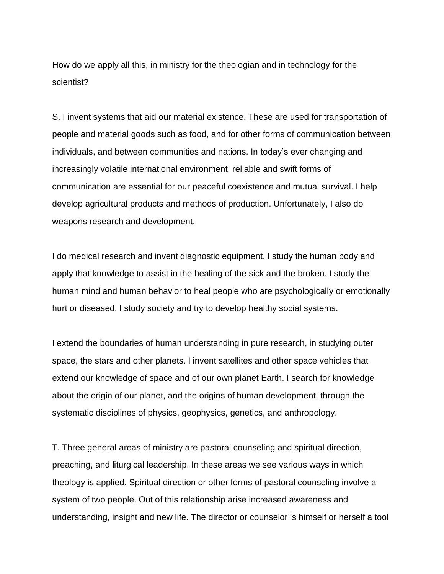How do we apply all this, in ministry for the theologian and in technology for the scientist?

S. I invent systems that aid our material existence. These are used for transportation of people and material goods such as food, and for other forms of communication between individuals, and between communities and nations. In today's ever changing and increasingly volatile international environment, reliable and swift forms of communication are essential for our peaceful coexistence and mutual survival. I help develop agricultural products and methods of production. Unfortunately, I also do weapons research and development.

I do medical research and invent diagnostic equipment. I study the human body and apply that knowledge to assist in the healing of the sick and the broken. I study the human mind and human behavior to heal people who are psychologically or emotionally hurt or diseased. I study society and try to develop healthy social systems.

I extend the boundaries of human understanding in pure research, in studying outer space, the stars and other planets. I invent satellites and other space vehicles that extend our knowledge of space and of our own planet Earth. I search for knowledge about the origin of our planet, and the origins of human development, through the systematic disciplines of physics, geophysics, genetics, and anthropology.

T. Three general areas of ministry are pastoral counseling and spiritual direction, preaching, and liturgical leadership. In these areas we see various ways in which theology is applied. Spiritual direction or other forms of pastoral counseling involve a system of two people. Out of this relationship arise increased awareness and understanding, insight and new life. The director or counselor is himself or herself a tool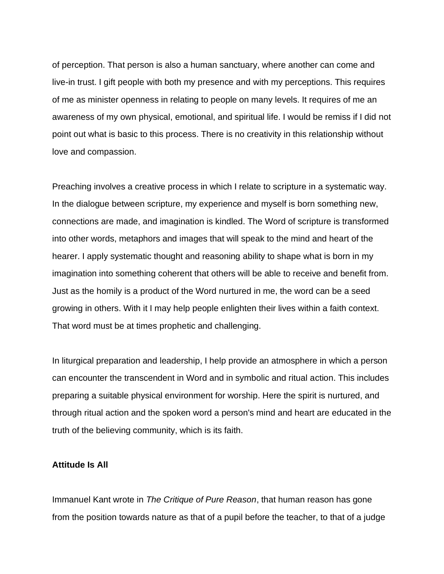of perception. That person is also a human sanctuary, where another can come and live-in trust. I gift people with both my presence and with my perceptions. This requires of me as minister openness in relating to people on many levels. It requires of me an awareness of my own physical, emotional, and spiritual life. I would be remiss if I did not point out what is basic to this process. There is no creativity in this relationship without love and compassion.

Preaching involves a creative process in which I relate to scripture in a systematic way. In the dialogue between scripture, my experience and myself is born something new, connections are made, and imagination is kindled. The Word of scripture is transformed into other words, metaphors and images that will speak to the mind and heart of the hearer. I apply systematic thought and reasoning ability to shape what is born in my imagination into something coherent that others will be able to receive and benefit from. Just as the homily is a product of the Word nurtured in me, the word can be a seed growing in others. With it I may help people enlighten their lives within a faith context. That word must be at times prophetic and challenging.

In liturgical preparation and leadership, I help provide an atmosphere in which a person can encounter the transcendent in Word and in symbolic and ritual action. This includes preparing a suitable physical environment for worship. Here the spirit is nurtured, and through ritual action and the spoken word a person's mind and heart are educated in the truth of the believing community, which is its faith.

#### **Attitude Is All**

Immanuel Kant wrote in *The Critique of Pure Reason*, that human reason has gone from the position towards nature as that of a pupil before the teacher, to that of a judge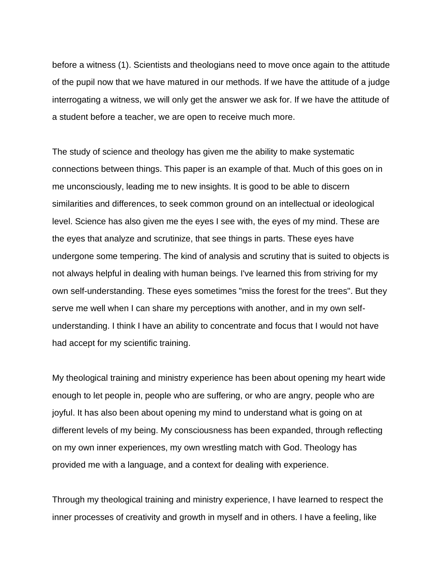before a witness (1). Scientists and theologians need to move once again to the attitude of the pupil now that we have matured in our methods. If we have the attitude of a judge interrogating a witness, we will only get the answer we ask for. If we have the attitude of a student before a teacher, we are open to receive much more.

The study of science and theology has given me the ability to make systematic connections between things. This paper is an example of that. Much of this goes on in me unconsciously, leading me to new insights. It is good to be able to discern similarities and differences, to seek common ground on an intellectual or ideological level. Science has also given me the eyes I see with, the eyes of my mind. These are the eyes that analyze and scrutinize, that see things in parts. These eyes have undergone some tempering. The kind of analysis and scrutiny that is suited to objects is not always helpful in dealing with human beings. I've learned this from striving for my own self-understanding. These eyes sometimes "miss the forest for the trees". But they serve me well when I can share my perceptions with another, and in my own selfunderstanding. I think I have an ability to concentrate and focus that I would not have had accept for my scientific training.

My theological training and ministry experience has been about opening my heart wide enough to let people in, people who are suffering, or who are angry, people who are joyful. It has also been about opening my mind to understand what is going on at different levels of my being. My consciousness has been expanded, through reflecting on my own inner experiences, my own wrestling match with God. Theology has provided me with a language, and a context for dealing with experience.

Through my theological training and ministry experience, I have learned to respect the inner processes of creativity and growth in myself and in others. I have a feeling, like